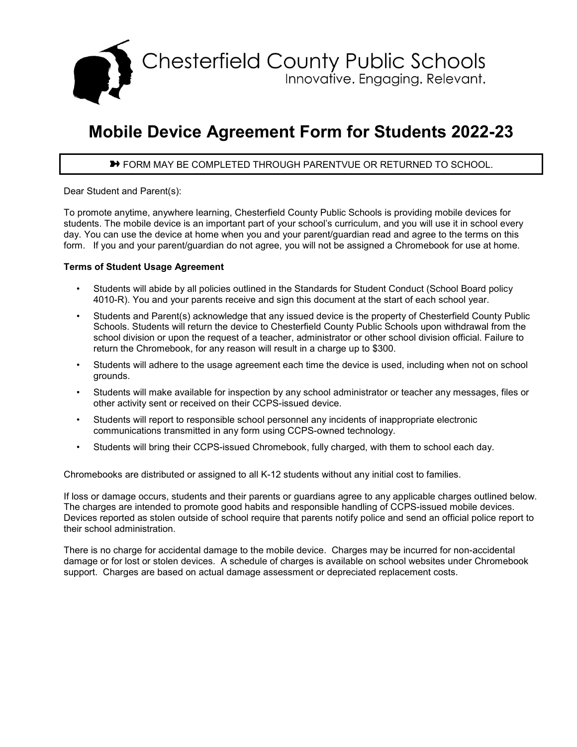

## **Mobile Device Agreement Form for Students 2022-23**

## **→** FORM MAY BE COMPLETED THROUGH PARENTVUE OR RETURNED TO SCHOOL.

Dear Student and Parent(s):

To promote anytime, anywhere learning, Chesterfield County Public Schools is providing mobile devices for students. The mobile device is an important part of your school's curriculum, and you will use it in school every day. You can use the device at home when you and your parent/guardian read and agree to the terms on this form. If you and your parent/guardian do not agree, you will not be assigned a Chromebook for use at home.

## **Terms of Student Usage Agreement**

- Students will abide by all policies outlined in the Standards for Student Conduct (School Board policy 4010-R). You and your parents receive and sign this document at the start of each school year.
- Students and Parent(s) acknowledge that any issued device is the property of Chesterfield County Public Schools. Students will return the device to Chesterfield County Public Schools upon withdrawal from the school division or upon the request of a teacher, administrator or other school division official. Failure to return the Chromebook, for any reason will result in a charge up to \$300.
- Students will adhere to the usage agreement each time the device is used, including when not on school grounds.
- Students will make available for inspection by any school administrator or teacher any messages, files or other activity sent or received on their CCPS-issued device.
- Students will report to responsible school personnel any incidents of inappropriate electronic communications transmitted in any form using CCPS-owned technology.
- Students will bring their CCPS-issued Chromebook, fully charged, with them to school each day.

Chromebooks are distributed or assigned to all K-12 students without any initial cost to families.

If loss or damage occurs, students and their parents or guardians agree to any applicable charges outlined below. The charges are intended to promote good habits and responsible handling of CCPS-issued mobile devices. Devices reported as stolen outside of school require that parents notify police and send an official police report to their school administration.

There is no charge for accidental damage to the mobile device. Charges may be incurred for non-accidental damage or for lost or stolen devices. A schedule of charges is available on school websites under Chromebook support. Charges are based on actual damage assessment or depreciated replacement costs.